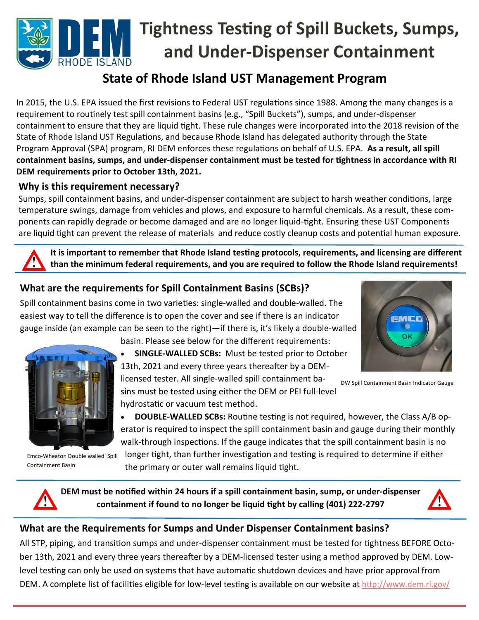# **Tightness TesƟng of Spill Buckets, Sumps, and Under‐Dispenser Containment**  RHODE ISLAND

## **State of Rhode Island UST Management Program**

In 2015, the U.S. EPA issued the first revisions to Federal UST regulations since 1988. Among the many changes is a requirement to routinely test spill containment basins (e.g., "Spill Buckets"), sumps, and under-dispenser containment to ensure that they are liquid tight. These rule changes were incorporated into the 2018 revision of the State of Rhode Island UST Regulations, and because Rhode Island has delegated authority through the State Program Approval (SPA) program, RI DEM enforces these regulations on behalf of U.S. EPA. As a result, all spill **containment basins, sumps, and under‐dispenser containment must be tested for Ɵghtness in accordance with RI DEM requirements prior to October 13th, 2021.** 

#### **Why is this requirement necessary?**

Sumps, spill containment basins, and under-dispenser containment are subject to harsh weather conditions, large temperature swings, damage from vehicles and plows, and exposure to harmful chemicals. As a result, these com‐ ponents can rapidly degrade or become damaged and are no longer liquid-tight. Ensuring these UST Components are liquid tight can prevent the release of materials and reduce costly cleanup costs and potential human exposure.

It is important to remember that Rhode Island testing protocols, requirements, and licensing are different **than the minimum federal requirements, and you are required to follow the Rhode Island requirements!** 

## **What are the requirements for Spill Containment Basins (SCBs)?**

Spill containment basins come in two varieties: single-walled and double-walled. The easiest way to tell the difference is to open the cover and see if there is an indicator gauge inside (an example can be seen to the right)—if there is, it's likely a double‐walled



Emco‐Wheaton Double walled Spill Containment Basin

basin. Please see below for the different requirements:

 **SINGLE‐WALLED SCBs:** Must be tested prior to October 13th, 2021 and every three years thereafter by a DEMlicensed tester. All single‐walled spill containment ba‐ DW Spill Containment Basin Indicator Gauge

sins must be tested using either the DEM or PEI full‐level hydrostatic or vacuum test method.

**DOUBLE-WALLED SCBs:** Routine testing is not required, however, the Class A/B operator is required to inspect the spill containment basin and gauge during their monthly walk-through inspections. If the gauge indicates that the spill containment basin is no

longer tight, than further investigation and testing is required to determine if either the primary or outer wall remains liquid tight.

**DEM must be noƟfied within 24 hours if a spill containment basin, sump, or under‐dispenser containment if found to no longer be liquid tight by calling (401) 222-2797** 



#### **What are the Requirements for Sumps and Under Dispenser Containment basins?**

All STP, piping, and transition sumps and under-dispenser containment must be tested for tightness BEFORE October 13th, 2021 and every three years thereafter by a DEM-licensed tester using a method approved by DEM. Lowlevel testing can only be used on systems that have automatic shutdown devices and have prior approval from DEM. A complete list of facilities eligible for low-level testing is available on our website at http://www.dem.ri.gov/